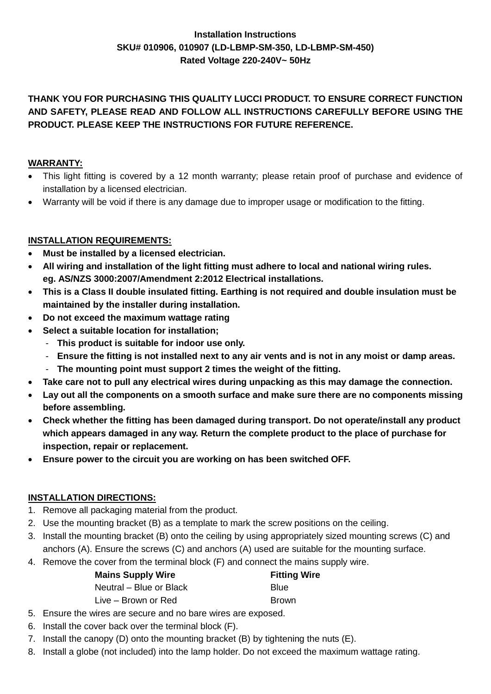# **Installation Instructions SKU# 010906, 010907 (LD-LBMP-SM-350, LD-LBMP-SM-450) Rated Voltage 220-240V~ 50Hz**

# **THANK YOU FOR PURCHASING THIS QUALITY LUCCI PRODUCT. TO ENSURE CORRECT FUNCTION AND SAFETY, PLEASE READ AND FOLLOW ALL INSTRUCTIONS CAREFULLY BEFORE USING THE PRODUCT. PLEASE KEEP THE INSTRUCTIONS FOR FUTURE REFERENCE.**

# **WARRANTY:**

- This light fitting is covered by a 12 month warranty; please retain proof of purchase and evidence of installation by a licensed electrician.
- Warranty will be void if there is any damage due to improper usage or modification to the fitting.

### **INSTALLATION REQUIREMENTS:**

- **Must be installed by a licensed electrician.**
- **All wiring and installation of the light fitting must adhere to local and national wiring rules. eg. AS/NZS 3000:2007/Amendment 2:2012 Electrical installations.**
- **This is a Class II double insulated fitting. Earthing is not required and double insulation must be maintained by the installer during installation.**
- **Do not exceed the maximum wattage rating**
- **Select a suitable location for installation;** 
	- **This product is suitable for indoor use only.**
	- **Ensure the fitting is not installed next to any air vents and is not in any moist or damp areas.**
	- **The mounting point must support 2 times the weight of the fitting.**
- **Take care not to pull any electrical wires during unpacking as this may damage the connection.**
- **Lay out all the components on a smooth surface and make sure there are no components missing before assembling.**
- **Check whether the fitting has been damaged during transport. Do not operate/install any product which appears damaged in any way. Return the complete product to the place of purchase for inspection, repair or replacement.**
- **Ensure power to the circuit you are working on has been switched OFF.**

### **INSTALLATION DIRECTIONS:**

- 1. Remove all packaging material from the product.
- 2. Use the mounting bracket (B) as a template to mark the screw positions on the ceiling.
- 3. Install the mounting bracket (B) onto the ceiling by using appropriately sized mounting screws (C) and anchors (A). Ensure the screws (C) and anchors (A) used are suitable for the mounting surface.
- 4. Remove the cover from the terminal block (F) and connect the mains supply wire.

| <b>Mains Supply Wire</b> | <b>Fitting Wire</b> |
|--------------------------|---------------------|
| Neutral - Blue or Black  | <b>Blue</b>         |
| Live – Brown or Red      | <b>Brown</b>        |

- 5. Ensure the wires are secure and no bare wires are exposed.
- 6. Install the cover back over the terminal block (F).
- 7. Install the canopy (D) onto the mounting bracket (B) by tightening the nuts (E).
- 8. Install a globe (not included) into the lamp holder. Do not exceed the maximum wattage rating.